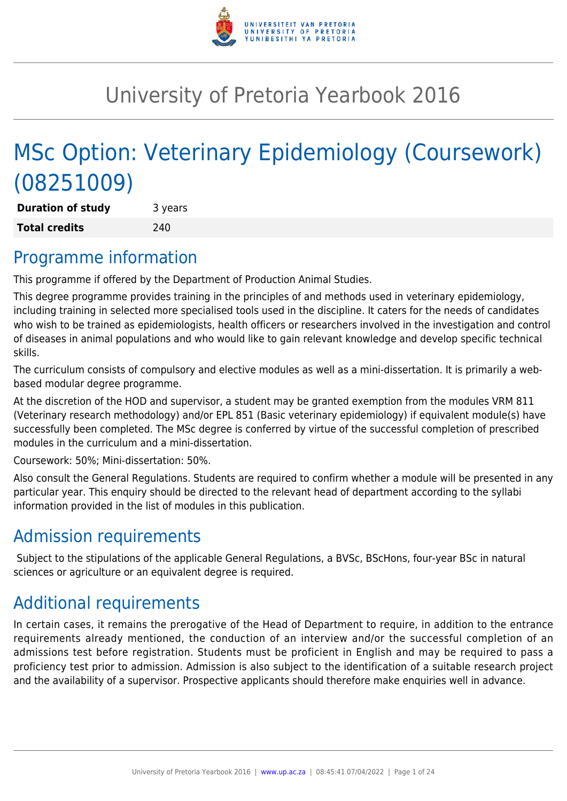

# University of Pretoria Yearbook 2016

# MSc Option: Veterinary Epidemiology (Coursework) (08251009)

**Duration of study** 3 years **Total credits** 240

## Programme information

This programme if offered by the Department of Production Animal Studies.

This degree programme provides training in the principles of and methods used in veterinary epidemiology, including training in selected more specialised tools used in the discipline. It caters for the needs of candidates who wish to be trained as epidemiologists, health officers or researchers involved in the investigation and control of diseases in animal populations and who would like to gain relevant knowledge and develop specific technical skills.

The curriculum consists of compulsory and elective modules as well as a mini-dissertation. It is primarily a webbased modular degree programme.

At the discretion of the HOD and supervisor, a student may be granted exemption from the modules VRM 811 (Veterinary research methodology) and/or EPL 851 (Basic veterinary epidemiology) if equivalent module(s) have successfully been completed. The MSc degree is conferred by virtue of the successful completion of prescribed modules in the curriculum and a mini-dissertation.

Coursework: 50%; Mini-dissertation: 50%.

Also consult the General Regulations. Students are required to confirm whether a module will be presented in any particular year. This enquiry should be directed to the relevant head of department according to the syllabi information provided in the list of modules in this publication.

## Admission requirements

Subject to the stipulations of the applicable General Regulations, a BVSc, BScHons, four-year BSc in natural sciences or agriculture or an equivalent degree is required.

## Additional requirements

In certain cases, it remains the prerogative of the Head of Department to require, in addition to the entrance requirements already mentioned, the conduction of an interview and/or the successful completion of an admissions test before registration. Students must be proficient in English and may be required to pass a proficiency test prior to admission. Admission is also subject to the identification of a suitable research project and the availability of a supervisor. Prospective applicants should therefore make enquiries well in advance.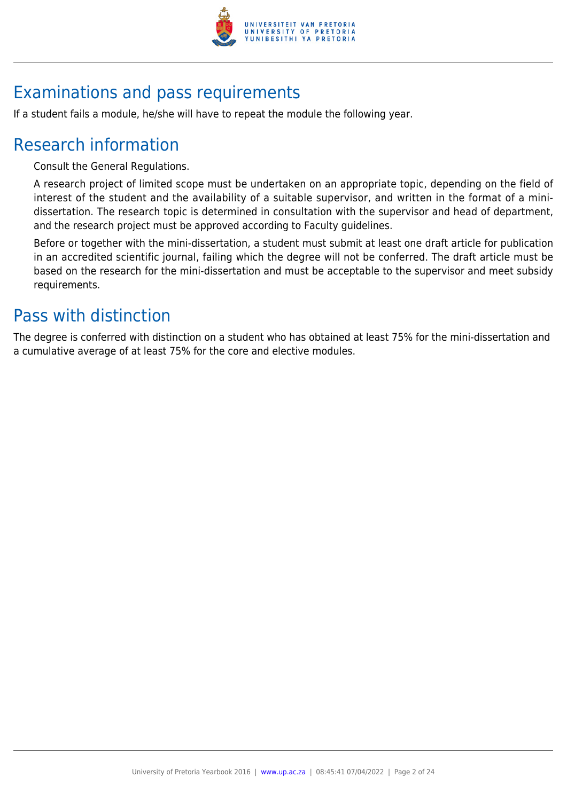

## Examinations and pass requirements

If a student fails a module, he/she will have to repeat the module the following year.

## Research information

Consult the General Regulations.

A research project of limited scope must be undertaken on an appropriate topic, depending on the field of interest of the student and the availability of a suitable supervisor, and written in the format of a minidissertation. The research topic is determined in consultation with the supervisor and head of department, and the research project must be approved according to Faculty guidelines.

Before or together with the mini-dissertation, a student must submit at least one draft article for publication in an accredited scientific journal, failing which the degree will not be conferred. The draft article must be based on the research for the mini-dissertation and must be acceptable to the supervisor and meet subsidy requirements.

## Pass with distinction

The degree is conferred with distinction on a student who has obtained at least 75% for the mini-dissertation and a cumulative average of at least 75% for the core and elective modules.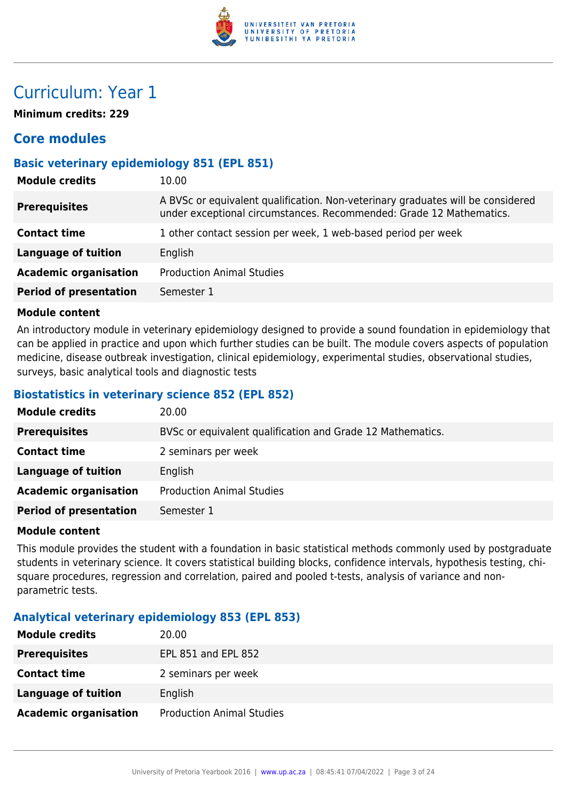

## Curriculum: Year 1

**Minimum credits: 229**

## **Core modules**

## **Basic veterinary epidemiology 851 (EPL 851)**

| <b>Module credits</b>         | 10.00                                                                                                                                                  |
|-------------------------------|--------------------------------------------------------------------------------------------------------------------------------------------------------|
| <b>Prerequisites</b>          | A BVSc or equivalent qualification. Non-veterinary graduates will be considered<br>under exceptional circumstances. Recommended: Grade 12 Mathematics. |
| <b>Contact time</b>           | 1 other contact session per week, 1 web-based period per week                                                                                          |
| <b>Language of tuition</b>    | English                                                                                                                                                |
| <b>Academic organisation</b>  | <b>Production Animal Studies</b>                                                                                                                       |
| <b>Period of presentation</b> | Semester 1                                                                                                                                             |
|                               |                                                                                                                                                        |

#### **Module content**

An introductory module in veterinary epidemiology designed to provide a sound foundation in epidemiology that can be applied in practice and upon which further studies can be built. The module covers aspects of population medicine, disease outbreak investigation, clinical epidemiology, experimental studies, observational studies, surveys, basic analytical tools and diagnostic tests

## **Biostatistics in veterinary science 852 (EPL 852)**

| <b>Module credits</b>         | 20.00                                                      |
|-------------------------------|------------------------------------------------------------|
| <b>Prerequisites</b>          | BVSc or equivalent qualification and Grade 12 Mathematics. |
| <b>Contact time</b>           | 2 seminars per week                                        |
| <b>Language of tuition</b>    | English                                                    |
| <b>Academic organisation</b>  | <b>Production Animal Studies</b>                           |
| <b>Period of presentation</b> | Semester 1                                                 |

## **Module content**

This module provides the student with a foundation in basic statistical methods commonly used by postgraduate students in veterinary science. It covers statistical building blocks, confidence intervals, hypothesis testing, chisquare procedures, regression and correlation, paired and pooled t-tests, analysis of variance and nonparametric tests.

## **Analytical veterinary epidemiology 853 (EPL 853)**

| <b>Module credits</b>        | 20.00                            |
|------------------------------|----------------------------------|
| <b>Prerequisites</b>         | EPL 851 and EPL 852              |
| <b>Contact time</b>          | 2 seminars per week              |
| <b>Language of tuition</b>   | English                          |
| <b>Academic organisation</b> | <b>Production Animal Studies</b> |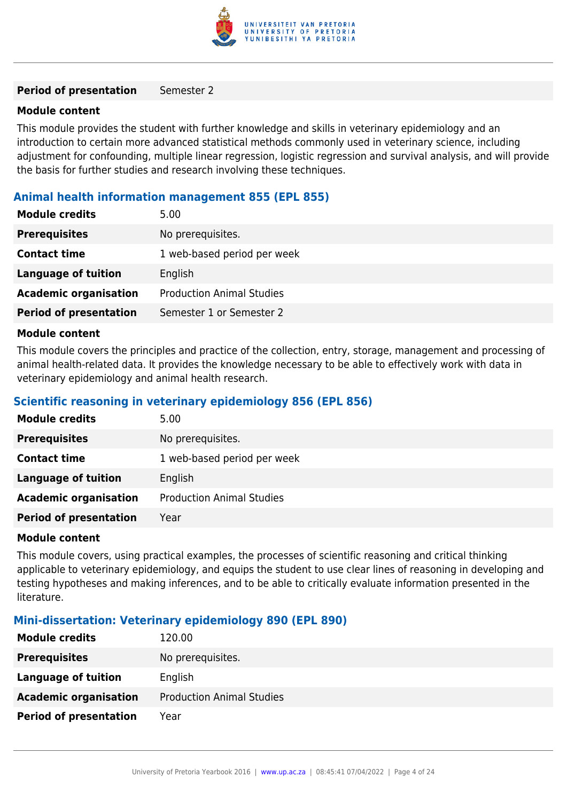

#### **Period of presentation** Semester 2

#### **Module content**

This module provides the student with further knowledge and skills in veterinary epidemiology and an introduction to certain more advanced statistical methods commonly used in veterinary science, including adjustment for confounding, multiple linear regression, logistic regression and survival analysis, and will provide the basis for further studies and research involving these techniques.

## **Animal health information management 855 (EPL 855)**

| 5.00                             |
|----------------------------------|
| No prerequisites.                |
| 1 web-based period per week      |
| English                          |
| <b>Production Animal Studies</b> |
| Semester 1 or Semester 2         |
|                                  |

## **Module content**

This module covers the principles and practice of the collection, entry, storage, management and processing of animal health-related data. It provides the knowledge necessary to be able to effectively work with data in veterinary epidemiology and animal health research.

## **Scientific reasoning in veterinary epidemiology 856 (EPL 856)**

| <b>Module credits</b>         | 5.00                             |
|-------------------------------|----------------------------------|
| <b>Prerequisites</b>          | No prerequisites.                |
| <b>Contact time</b>           | 1 web-based period per week      |
| <b>Language of tuition</b>    | English                          |
| <b>Academic organisation</b>  | <b>Production Animal Studies</b> |
| <b>Period of presentation</b> | Year                             |

#### **Module content**

This module covers, using practical examples, the processes of scientific reasoning and critical thinking applicable to veterinary epidemiology, and equips the student to use clear lines of reasoning in developing and testing hypotheses and making inferences, and to be able to critically evaluate information presented in the literature.

## **Mini-dissertation: Veterinary epidemiology 890 (EPL 890)**

| <b>Module credits</b>         | 120.00                           |
|-------------------------------|----------------------------------|
| <b>Prerequisites</b>          | No prerequisites.                |
| Language of tuition           | English                          |
| <b>Academic organisation</b>  | <b>Production Animal Studies</b> |
| <b>Period of presentation</b> | Year                             |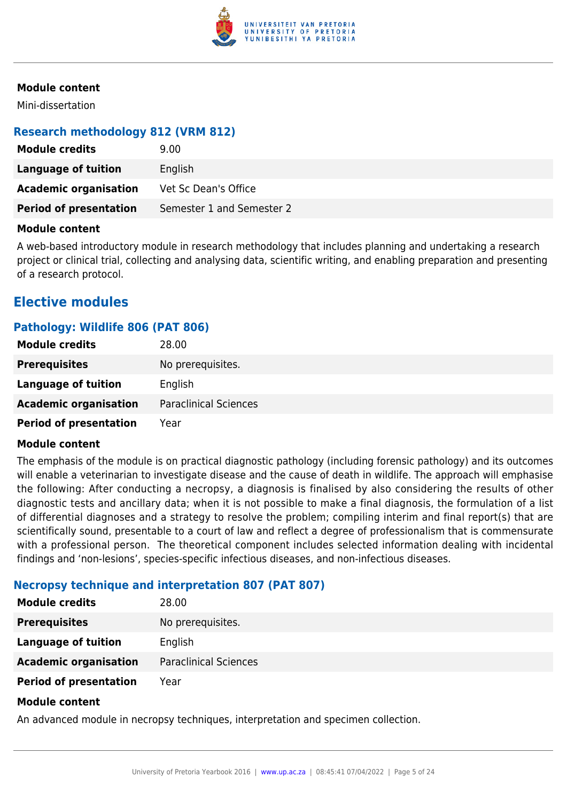

Mini-dissertation

## **Research methodology 812 (VRM 812)**

| <b>Module credits</b>         | 9.00 <sub>1</sub>         |
|-------------------------------|---------------------------|
| Language of tuition           | English                   |
| <b>Academic organisation</b>  | Vet Sc Dean's Office      |
| <b>Period of presentation</b> | Semester 1 and Semester 2 |

#### **Module content**

A web-based introductory module in research methodology that includes planning and undertaking a research project or clinical trial, collecting and analysing data, scientific writing, and enabling preparation and presenting of a research protocol.

## **Elective modules**

## **Pathology: Wildlife 806 (PAT 806)**

| <b>Module credits</b>         | 28.00                        |
|-------------------------------|------------------------------|
| <b>Prerequisites</b>          | No prerequisites.            |
| Language of tuition           | English                      |
| <b>Academic organisation</b>  | <b>Paraclinical Sciences</b> |
| <b>Period of presentation</b> | Year                         |

#### **Module content**

The emphasis of the module is on practical diagnostic pathology (including forensic pathology) and its outcomes will enable a veterinarian to investigate disease and the cause of death in wildlife. The approach will emphasise the following: After conducting a necropsy, a diagnosis is finalised by also considering the results of other diagnostic tests and ancillary data; when it is not possible to make a final diagnosis, the formulation of a list of differential diagnoses and a strategy to resolve the problem; compiling interim and final report(s) that are scientifically sound, presentable to a court of law and reflect a degree of professionalism that is commensurate with a professional person. The theoretical component includes selected information dealing with incidental findings and 'non-lesions', species-specific infectious diseases, and non-infectious diseases.

## **Necropsy technique and interpretation 807 (PAT 807)**

| <b>Module credits</b>         | 28.00                        |
|-------------------------------|------------------------------|
| <b>Prerequisites</b>          | No prerequisites.            |
| Language of tuition           | English                      |
| <b>Academic organisation</b>  | <b>Paraclinical Sciences</b> |
| <b>Period of presentation</b> | Year                         |
|                               |                              |

#### **Module content**

An advanced module in necropsy techniques, interpretation and specimen collection.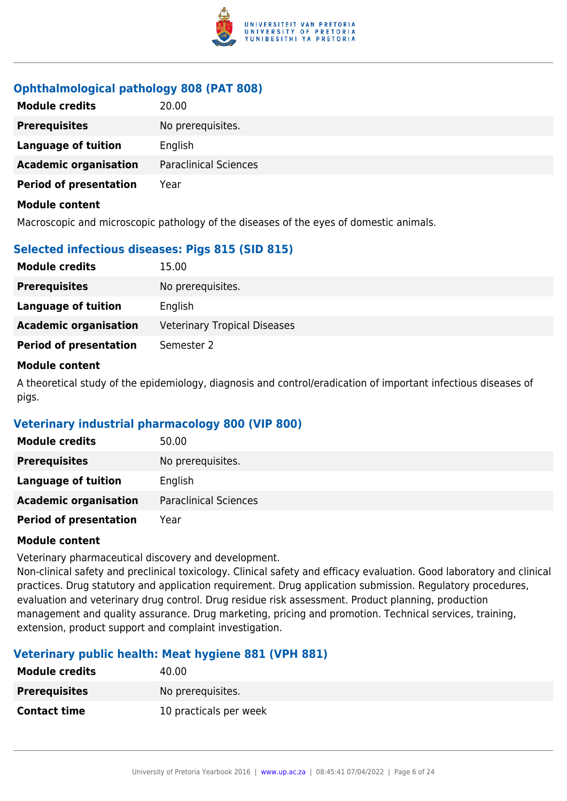

## **Ophthalmological pathology 808 (PAT 808)**

| <b>Module credits</b>         | 20.00                        |
|-------------------------------|------------------------------|
| <b>Prerequisites</b>          | No prerequisites.            |
| <b>Language of tuition</b>    | English                      |
| <b>Academic organisation</b>  | <b>Paraclinical Sciences</b> |
| <b>Period of presentation</b> | Year                         |
| <b>Module content</b>         |                              |

Macroscopic and microscopic pathology of the diseases of the eyes of domestic animals.

## **Selected infectious diseases: Pigs 815 (SID 815)**

| <b>Module credits</b>         | 15.00                               |
|-------------------------------|-------------------------------------|
| <b>Prerequisites</b>          | No prerequisites.                   |
| Language of tuition           | English                             |
| <b>Academic organisation</b>  | <b>Veterinary Tropical Diseases</b> |
| <b>Period of presentation</b> | Semester 2                          |
|                               |                                     |

#### **Module content**

A theoretical study of the epidemiology, diagnosis and control/eradication of important infectious diseases of pigs.

## **Veterinary industrial pharmacology 800 (VIP 800)**

| <b>Module credits</b>         | 50.00                        |
|-------------------------------|------------------------------|
| <b>Prerequisites</b>          | No prerequisites.            |
| Language of tuition           | English                      |
| <b>Academic organisation</b>  | <b>Paraclinical Sciences</b> |
| <b>Period of presentation</b> | Year                         |

## **Module content**

Veterinary pharmaceutical discovery and development.

Non-clinical safety and preclinical toxicology. Clinical safety and efficacy evaluation. Good laboratory and clinical practices. Drug statutory and application requirement. Drug application submission. Regulatory procedures, evaluation and veterinary drug control. Drug residue risk assessment. Product planning, production management and quality assurance. Drug marketing, pricing and promotion. Technical services, training, extension, product support and complaint investigation.

## **Veterinary public health: Meat hygiene 881 (VPH 881)**

| <b>Module credits</b> | 40.00                  |
|-----------------------|------------------------|
| <b>Prerequisites</b>  | No prerequisites.      |
| <b>Contact time</b>   | 10 practicals per week |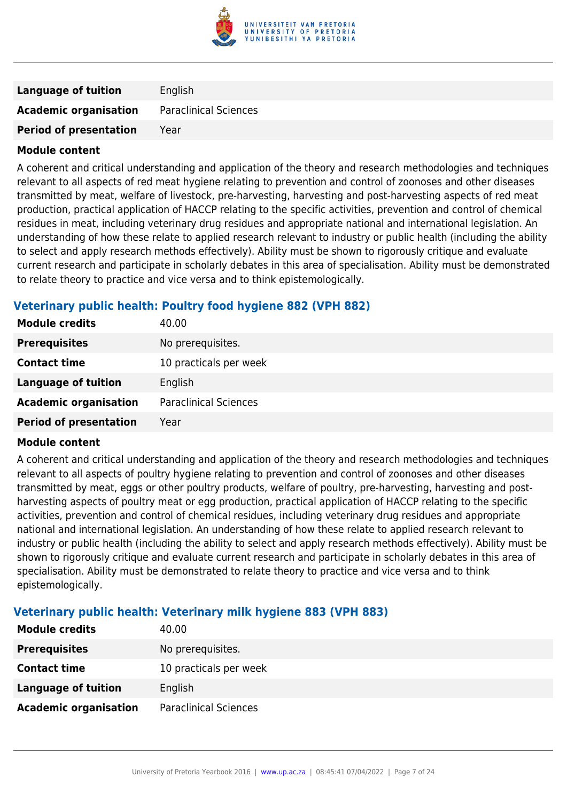

| <b>Language of tuition</b>    | English                      |
|-------------------------------|------------------------------|
| <b>Academic organisation</b>  | <b>Paraclinical Sciences</b> |
| <b>Period of presentation</b> | Year                         |

A coherent and critical understanding and application of the theory and research methodologies and techniques relevant to all aspects of red meat hygiene relating to prevention and control of zoonoses and other diseases transmitted by meat, welfare of livestock, pre-harvesting, harvesting and post-harvesting aspects of red meat production, practical application of HACCP relating to the specific activities, prevention and control of chemical residues in meat, including veterinary drug residues and appropriate national and international legislation. An understanding of how these relate to applied research relevant to industry or public health (including the ability to select and apply research methods effectively). Ability must be shown to rigorously critique and evaluate current research and participate in scholarly debates in this area of specialisation. Ability must be demonstrated to relate theory to practice and vice versa and to think epistemologically.

## **Veterinary public health: Poultry food hygiene 882 (VPH 882)**

| <b>Module credits</b>         | 40.00                        |
|-------------------------------|------------------------------|
| <b>Prerequisites</b>          | No prerequisites.            |
| <b>Contact time</b>           | 10 practicals per week       |
| <b>Language of tuition</b>    | English                      |
| <b>Academic organisation</b>  | <b>Paraclinical Sciences</b> |
| <b>Period of presentation</b> | Year                         |

## **Module content**

A coherent and critical understanding and application of the theory and research methodologies and techniques relevant to all aspects of poultry hygiene relating to prevention and control of zoonoses and other diseases transmitted by meat, eggs or other poultry products, welfare of poultry, pre-harvesting, harvesting and postharvesting aspects of poultry meat or egg production, practical application of HACCP relating to the specific activities, prevention and control of chemical residues, including veterinary drug residues and appropriate national and international legislation. An understanding of how these relate to applied research relevant to industry or public health (including the ability to select and apply research methods effectively). Ability must be shown to rigorously critique and evaluate current research and participate in scholarly debates in this area of specialisation. Ability must be demonstrated to relate theory to practice and vice versa and to think epistemologically.

## **Veterinary public health: Veterinary milk hygiene 883 (VPH 883)**

| <b>Module credits</b>        | 40.00                        |
|------------------------------|------------------------------|
| <b>Prerequisites</b>         | No prerequisites.            |
| <b>Contact time</b>          | 10 practicals per week       |
| <b>Language of tuition</b>   | English                      |
| <b>Academic organisation</b> | <b>Paraclinical Sciences</b> |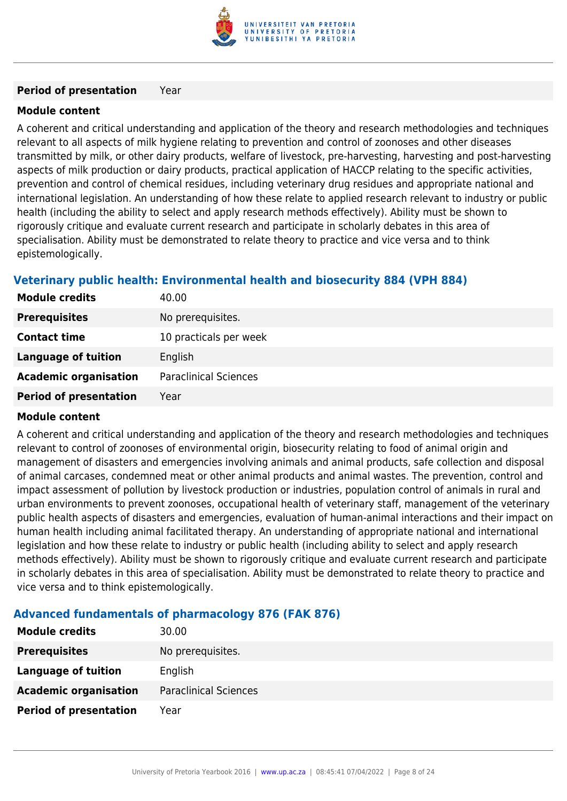

#### **Period of presentation** Year

## **Module content**

A coherent and critical understanding and application of the theory and research methodologies and techniques relevant to all aspects of milk hygiene relating to prevention and control of zoonoses and other diseases transmitted by milk, or other dairy products, welfare of livestock, pre-harvesting, harvesting and post-harvesting aspects of milk production or dairy products, practical application of HACCP relating to the specific activities, prevention and control of chemical residues, including veterinary drug residues and appropriate national and international legislation. An understanding of how these relate to applied research relevant to industry or public health (including the ability to select and apply research methods effectively). Ability must be shown to rigorously critique and evaluate current research and participate in scholarly debates in this area of specialisation. Ability must be demonstrated to relate theory to practice and vice versa and to think epistemologically.

## **Veterinary public health: Environmental health and biosecurity 884 (VPH 884)**

| <b>Module credits</b>         | 40.00                        |
|-------------------------------|------------------------------|
| <b>Prerequisites</b>          | No prerequisites.            |
| <b>Contact time</b>           | 10 practicals per week       |
| Language of tuition           | English                      |
| <b>Academic organisation</b>  | <b>Paraclinical Sciences</b> |
| <b>Period of presentation</b> | Year                         |

## **Module content**

A coherent and critical understanding and application of the theory and research methodologies and techniques relevant to control of zoonoses of environmental origin, biosecurity relating to food of animal origin and management of disasters and emergencies involving animals and animal products, safe collection and disposal of animal carcases, condemned meat or other animal products and animal wastes. The prevention, control and impact assessment of pollution by livestock production or industries, population control of animals in rural and urban environments to prevent zoonoses, occupational health of veterinary staff, management of the veterinary public health aspects of disasters and emergencies, evaluation of human-animal interactions and their impact on human health including animal facilitated therapy. An understanding of appropriate national and international legislation and how these relate to industry or public health (including ability to select and apply research methods effectively). Ability must be shown to rigorously critique and evaluate current research and participate in scholarly debates in this area of specialisation. Ability must be demonstrated to relate theory to practice and vice versa and to think epistemologically.

## **Advanced fundamentals of pharmacology 876 (FAK 876)**

| <b>Module credits</b>         | 30.00                        |
|-------------------------------|------------------------------|
| <b>Prerequisites</b>          | No prerequisites.            |
| <b>Language of tuition</b>    | English                      |
| <b>Academic organisation</b>  | <b>Paraclinical Sciences</b> |
| <b>Period of presentation</b> | Year                         |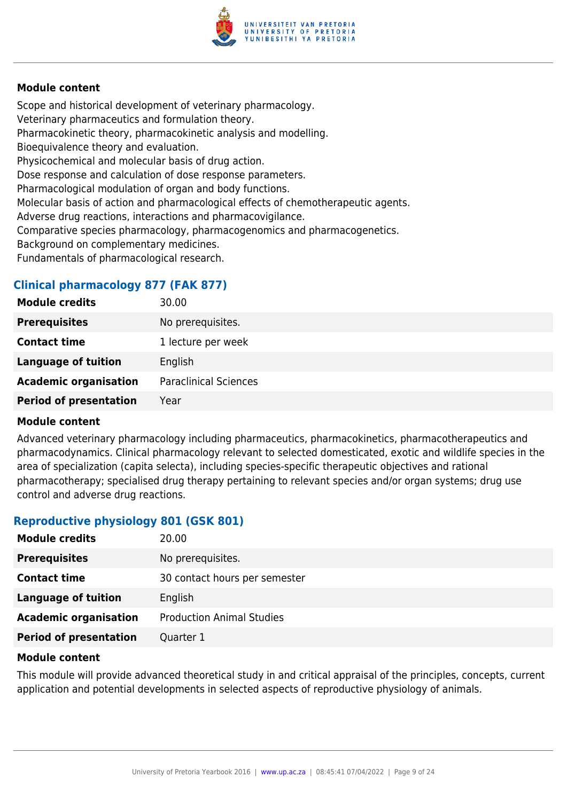

Scope and historical development of veterinary pharmacology. Veterinary pharmaceutics and formulation theory. Pharmacokinetic theory, pharmacokinetic analysis and modelling. Bioequivalence theory and evaluation. Physicochemical and molecular basis of drug action. Dose response and calculation of dose response parameters. Pharmacological modulation of organ and body functions. Molecular basis of action and pharmacological effects of chemotherapeutic agents. Adverse drug reactions, interactions and pharmacovigilance. Comparative species pharmacology, pharmacogenomics and pharmacogenetics. Background on complementary medicines. Fundamentals of pharmacological research.

## **Clinical pharmacology 877 (FAK 877)**

| <b>Module credits</b>         | 30.00                        |
|-------------------------------|------------------------------|
| <b>Prerequisites</b>          | No prerequisites.            |
| <b>Contact time</b>           | 1 lecture per week           |
| <b>Language of tuition</b>    | English                      |
| <b>Academic organisation</b>  | <b>Paraclinical Sciences</b> |
| <b>Period of presentation</b> | Year                         |
|                               |                              |

#### **Module content**

Advanced veterinary pharmacology including pharmaceutics, pharmacokinetics, pharmacotherapeutics and pharmacodynamics. Clinical pharmacology relevant to selected domesticated, exotic and wildlife species in the area of specialization (capita selecta), including species-specific therapeutic objectives and rational pharmacotherapy; specialised drug therapy pertaining to relevant species and/or organ systems; drug use control and adverse drug reactions.

## **Reproductive physiology 801 (GSK 801)**

| <b>Module credits</b>         | 20.00                            |
|-------------------------------|----------------------------------|
| <b>Prerequisites</b>          | No prerequisites.                |
| <b>Contact time</b>           | 30 contact hours per semester    |
| <b>Language of tuition</b>    | English                          |
| <b>Academic organisation</b>  | <b>Production Animal Studies</b> |
| <b>Period of presentation</b> | Quarter 1                        |

#### **Module content**

This module will provide advanced theoretical study in and critical appraisal of the principles, concepts, current application and potential developments in selected aspects of reproductive physiology of animals.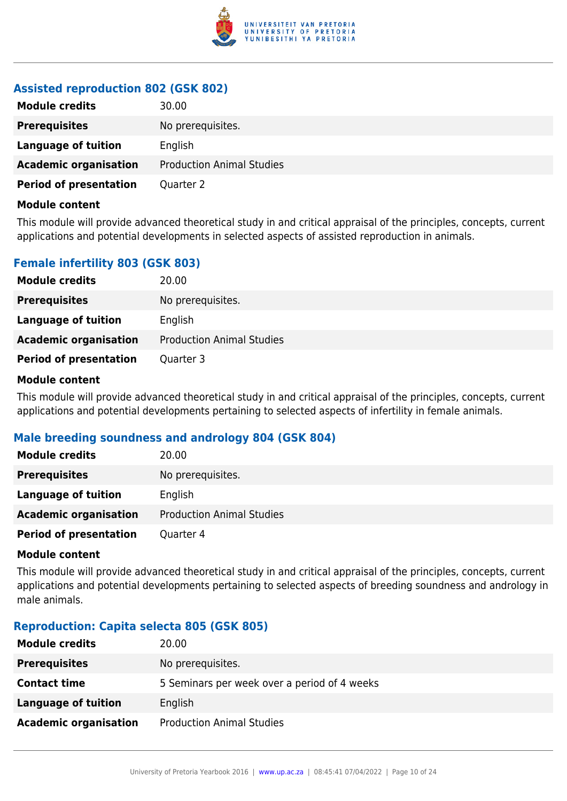

## **Assisted reproduction 802 (GSK 802)**

| <b>Module credits</b>         | 30.00                            |
|-------------------------------|----------------------------------|
| <b>Prerequisites</b>          | No prerequisites.                |
| Language of tuition           | English                          |
| <b>Academic organisation</b>  | <b>Production Animal Studies</b> |
| <b>Period of presentation</b> | Quarter 2                        |

#### **Module content**

This module will provide advanced theoretical study in and critical appraisal of the principles, concepts, current applications and potential developments in selected aspects of assisted reproduction in animals.

## **Female infertility 803 (GSK 803)**

| <b>Module credits</b>         | 20.00                            |
|-------------------------------|----------------------------------|
| <b>Prerequisites</b>          | No prerequisites.                |
| Language of tuition           | English                          |
| <b>Academic organisation</b>  | <b>Production Animal Studies</b> |
| <b>Period of presentation</b> | Quarter 3                        |

#### **Module content**

This module will provide advanced theoretical study in and critical appraisal of the principles, concepts, current applications and potential developments pertaining to selected aspects of infertility in female animals.

## **Male breeding soundness and andrology 804 (GSK 804)**

| <b>Module credits</b>         | 20.00                            |
|-------------------------------|----------------------------------|
| <b>Prerequisites</b>          | No prerequisites.                |
| <b>Language of tuition</b>    | English                          |
| <b>Academic organisation</b>  | <b>Production Animal Studies</b> |
| <b>Period of presentation</b> | Quarter 4                        |

#### **Module content**

This module will provide advanced theoretical study in and critical appraisal of the principles, concepts, current applications and potential developments pertaining to selected aspects of breeding soundness and andrology in male animals.

## **Reproduction: Capita selecta 805 (GSK 805)**

| <b>Module credits</b>        | 20.00                                        |
|------------------------------|----------------------------------------------|
| <b>Prerequisites</b>         | No prerequisites.                            |
| <b>Contact time</b>          | 5 Seminars per week over a period of 4 weeks |
| <b>Language of tuition</b>   | English                                      |
| <b>Academic organisation</b> | <b>Production Animal Studies</b>             |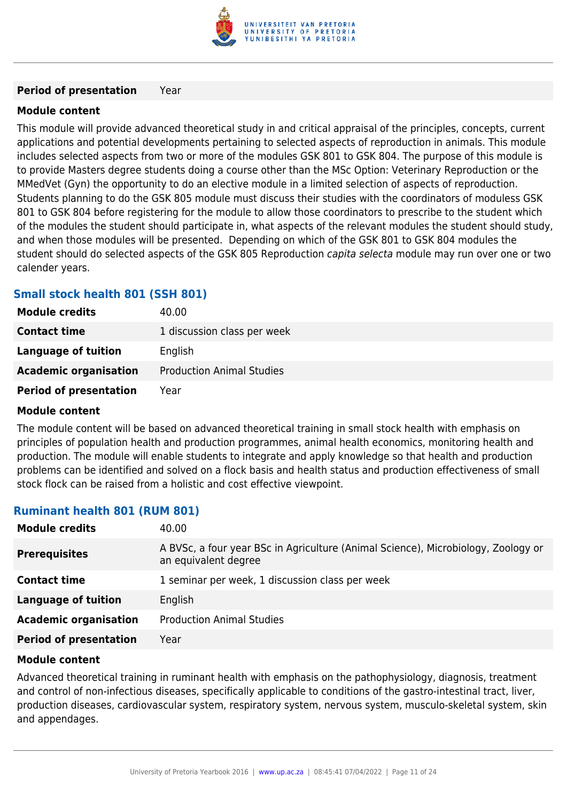

#### **Period of presentation** Year

## **Module content**

This module will provide advanced theoretical study in and critical appraisal of the principles, concepts, current applications and potential developments pertaining to selected aspects of reproduction in animals. This module includes selected aspects from two or more of the modules GSK 801 to GSK 804. The purpose of this module is to provide Masters degree students doing a course other than the MSc Option: Veterinary Reproduction or the MMedVet (Gyn) the opportunity to do an elective module in a limited selection of aspects of reproduction. Students planning to do the GSK 805 module must discuss their studies with the coordinators of moduless GSK 801 to GSK 804 before registering for the module to allow those coordinators to prescribe to the student which of the modules the student should participate in, what aspects of the relevant modules the student should study, and when those modules will be presented. Depending on which of the GSK 801 to GSK 804 modules the student should do selected aspects of the GSK 805 Reproduction capita selecta module may run over one or two calender years.

## **Small stock health 801 (SSH 801)**

| <b>Module credits</b>         | 40.00                            |
|-------------------------------|----------------------------------|
| <b>Contact time</b>           | 1 discussion class per week      |
| Language of tuition           | English                          |
| <b>Academic organisation</b>  | <b>Production Animal Studies</b> |
| <b>Period of presentation</b> | Year                             |

## **Module content**

The module content will be based on advanced theoretical training in small stock health with emphasis on principles of population health and production programmes, animal health economics, monitoring health and production. The module will enable students to integrate and apply knowledge so that health and production problems can be identified and solved on a flock basis and health status and production effectiveness of small stock flock can be raised from a holistic and cost effective viewpoint.

## **Ruminant health 801 (RUM 801)**

| <b>Module credits</b>         | 40.00                                                                                                     |
|-------------------------------|-----------------------------------------------------------------------------------------------------------|
| <b>Prerequisites</b>          | A BVSc, a four year BSc in Agriculture (Animal Science), Microbiology, Zoology or<br>an equivalent degree |
| <b>Contact time</b>           | 1 seminar per week, 1 discussion class per week                                                           |
| <b>Language of tuition</b>    | English                                                                                                   |
| <b>Academic organisation</b>  | <b>Production Animal Studies</b>                                                                          |
| <b>Period of presentation</b> | Year                                                                                                      |

#### **Module content**

Advanced theoretical training in ruminant health with emphasis on the pathophysiology, diagnosis, treatment and control of non-infectious diseases, specifically applicable to conditions of the gastro-intestinal tract, liver, production diseases, cardiovascular system, respiratory system, nervous system, musculo-skeletal system, skin and appendages.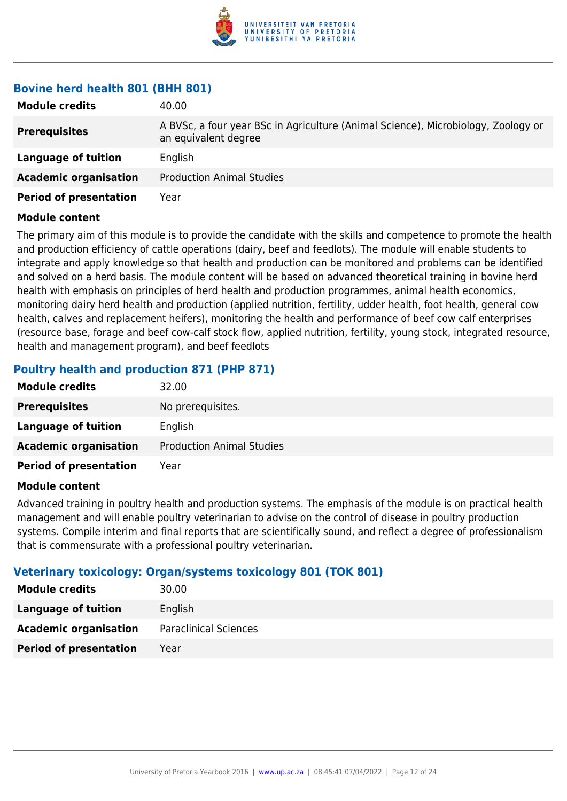

## **Bovine herd health 801 (BHH 801)**

| <b>Module credits</b>         | 40.00                                                                                                     |
|-------------------------------|-----------------------------------------------------------------------------------------------------------|
| <b>Prerequisites</b>          | A BVSc, a four year BSc in Agriculture (Animal Science), Microbiology, Zoology or<br>an equivalent degree |
| Language of tuition           | English                                                                                                   |
| <b>Academic organisation</b>  | <b>Production Animal Studies</b>                                                                          |
| <b>Period of presentation</b> | Year                                                                                                      |

#### **Module content**

The primary aim of this module is to provide the candidate with the skills and competence to promote the health and production efficiency of cattle operations (dairy, beef and feedlots). The module will enable students to integrate and apply knowledge so that health and production can be monitored and problems can be identified and solved on a herd basis. The module content will be based on advanced theoretical training in bovine herd health with emphasis on principles of herd health and production programmes, animal health economics, monitoring dairy herd health and production (applied nutrition, fertility, udder health, foot health, general cow health, calves and replacement heifers), monitoring the health and performance of beef cow calf enterprises (resource base, forage and beef cow-calf stock flow, applied nutrition, fertility, young stock, integrated resource, health and management program), and beef feedlots

## **Poultry health and production 871 (PHP 871)**

| 32.00                            |
|----------------------------------|
| No prerequisites.                |
| English                          |
| <b>Production Animal Studies</b> |
| Year                             |
|                                  |

## **Module content**

Advanced training in poultry health and production systems. The emphasis of the module is on practical health management and will enable poultry veterinarian to advise on the control of disease in poultry production systems. Compile interim and final reports that are scientifically sound, and reflect a degree of professionalism that is commensurate with a professional poultry veterinarian.

## **Veterinary toxicology: Organ/systems toxicology 801 (TOK 801)**

| <b>Module credits</b>         | 30.00                        |
|-------------------------------|------------------------------|
| <b>Language of tuition</b>    | English                      |
| <b>Academic organisation</b>  | <b>Paraclinical Sciences</b> |
| <b>Period of presentation</b> | Year                         |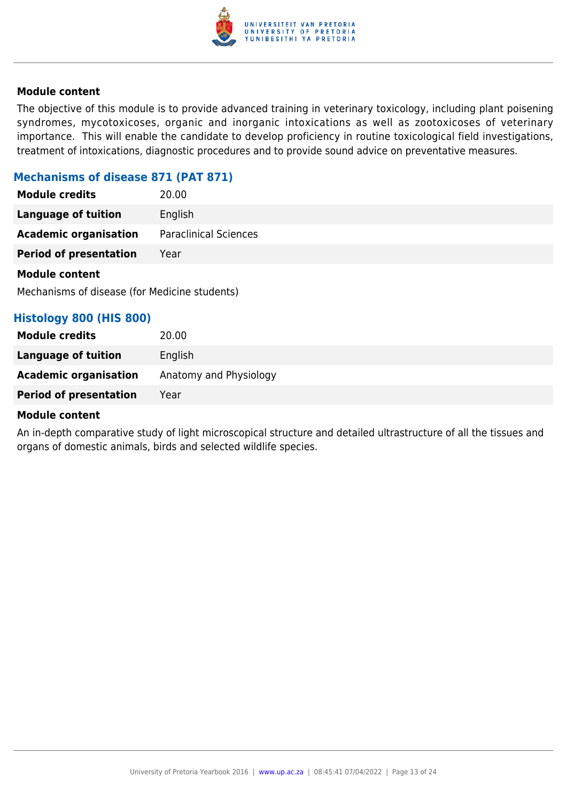

The objective of this module is to provide advanced training in veterinary toxicology, including plant poisening syndromes, mycotoxicoses, organic and inorganic intoxications as well as zootoxicoses of veterinary importance. This will enable the candidate to develop proficiency in routine toxicological field investigations, treatment of intoxications, diagnostic procedures and to provide sound advice on preventative measures.

## **Mechanisms of disease 871 (PAT 871)**

| <b>Module credits</b>         | 20.00                        |
|-------------------------------|------------------------------|
| <b>Language of tuition</b>    | English                      |
| <b>Academic organisation</b>  | <b>Paraclinical Sciences</b> |
| <b>Period of presentation</b> | Year                         |
| <b>Module content</b>         |                              |

Mechanisms of disease (for Medicine students)

## **Histology 800 (HIS 800)**

#### **Module content**

An in-depth comparative study of light microscopical structure and detailed ultrastructure of all the tissues and organs of domestic animals, birds and selected wildlife species.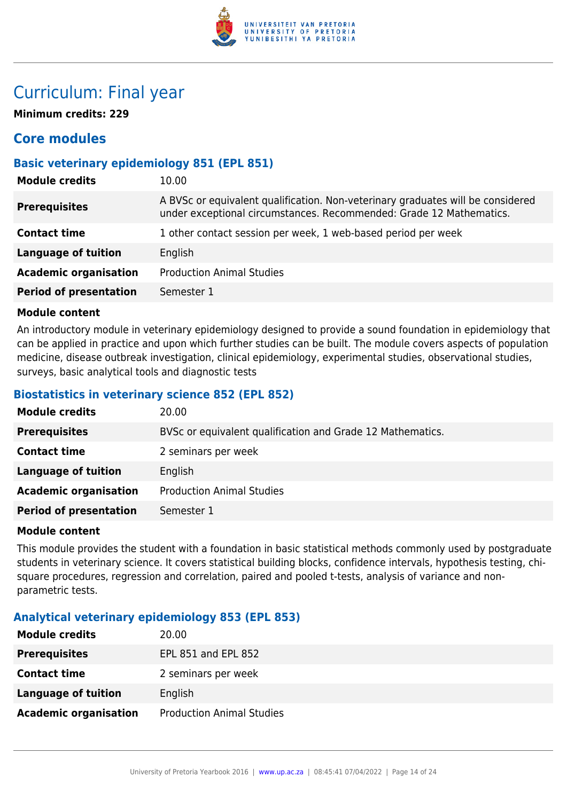

## Curriculum: Final year

**Minimum credits: 229**

## **Core modules**

## **Basic veterinary epidemiology 851 (EPL 851)**

| <b>Module credits</b>         | 10.00                                                                                                                                                  |
|-------------------------------|--------------------------------------------------------------------------------------------------------------------------------------------------------|
| <b>Prerequisites</b>          | A BVSc or equivalent qualification. Non-veterinary graduates will be considered<br>under exceptional circumstances. Recommended: Grade 12 Mathematics. |
| <b>Contact time</b>           | 1 other contact session per week, 1 web-based period per week                                                                                          |
| <b>Language of tuition</b>    | English                                                                                                                                                |
| <b>Academic organisation</b>  | <b>Production Animal Studies</b>                                                                                                                       |
| <b>Period of presentation</b> | Semester 1                                                                                                                                             |
|                               |                                                                                                                                                        |

#### **Module content**

An introductory module in veterinary epidemiology designed to provide a sound foundation in epidemiology that can be applied in practice and upon which further studies can be built. The module covers aspects of population medicine, disease outbreak investigation, clinical epidemiology, experimental studies, observational studies, surveys, basic analytical tools and diagnostic tests

## **Biostatistics in veterinary science 852 (EPL 852)**

| <b>Module credits</b>         | 20.00                                                      |
|-------------------------------|------------------------------------------------------------|
| <b>Prerequisites</b>          | BVSc or equivalent qualification and Grade 12 Mathematics. |
| <b>Contact time</b>           | 2 seminars per week                                        |
| <b>Language of tuition</b>    | English                                                    |
| <b>Academic organisation</b>  | <b>Production Animal Studies</b>                           |
| <b>Period of presentation</b> | Semester 1                                                 |

## **Module content**

This module provides the student with a foundation in basic statistical methods commonly used by postgraduate students in veterinary science. It covers statistical building blocks, confidence intervals, hypothesis testing, chisquare procedures, regression and correlation, paired and pooled t-tests, analysis of variance and nonparametric tests.

## **Analytical veterinary epidemiology 853 (EPL 853)**

| <b>Module credits</b>        | 20.00                            |
|------------------------------|----------------------------------|
| <b>Prerequisites</b>         | EPL 851 and EPL 852              |
| <b>Contact time</b>          | 2 seminars per week              |
| <b>Language of tuition</b>   | English                          |
| <b>Academic organisation</b> | <b>Production Animal Studies</b> |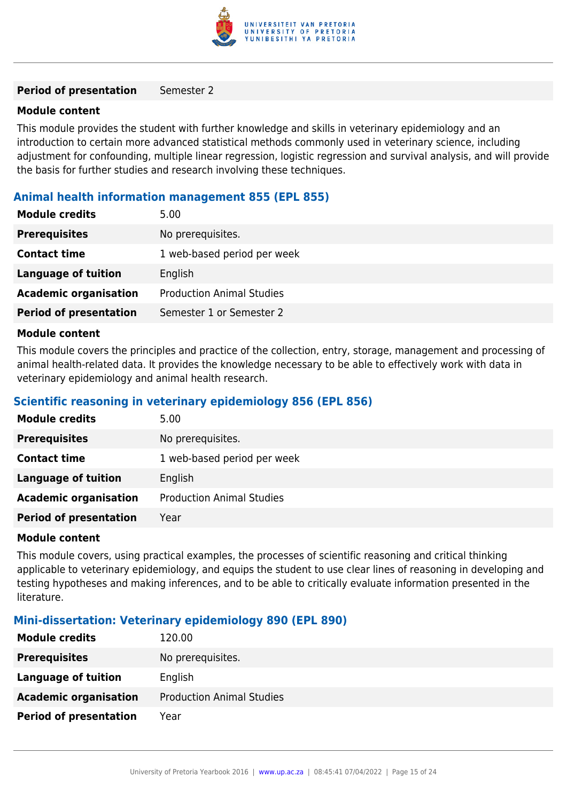

#### **Period of presentation** Semester 2

#### **Module content**

This module provides the student with further knowledge and skills in veterinary epidemiology and an introduction to certain more advanced statistical methods commonly used in veterinary science, including adjustment for confounding, multiple linear regression, logistic regression and survival analysis, and will provide the basis for further studies and research involving these techniques.

## **Animal health information management 855 (EPL 855)**

| 5.00                             |
|----------------------------------|
| No prerequisites.                |
| 1 web-based period per week      |
| English                          |
| <b>Production Animal Studies</b> |
| Semester 1 or Semester 2         |
|                                  |

## **Module content**

This module covers the principles and practice of the collection, entry, storage, management and processing of animal health-related data. It provides the knowledge necessary to be able to effectively work with data in veterinary epidemiology and animal health research.

## **Scientific reasoning in veterinary epidemiology 856 (EPL 856)**

| <b>Module credits</b>         | 5.00                             |
|-------------------------------|----------------------------------|
| <b>Prerequisites</b>          | No prerequisites.                |
| <b>Contact time</b>           | 1 web-based period per week      |
| <b>Language of tuition</b>    | English                          |
| <b>Academic organisation</b>  | <b>Production Animal Studies</b> |
| <b>Period of presentation</b> | Year                             |

#### **Module content**

This module covers, using practical examples, the processes of scientific reasoning and critical thinking applicable to veterinary epidemiology, and equips the student to use clear lines of reasoning in developing and testing hypotheses and making inferences, and to be able to critically evaluate information presented in the literature.

## **Mini-dissertation: Veterinary epidemiology 890 (EPL 890)**

| <b>Module credits</b>         | 120.00                           |
|-------------------------------|----------------------------------|
| <b>Prerequisites</b>          | No prerequisites.                |
| Language of tuition           | English                          |
| <b>Academic organisation</b>  | <b>Production Animal Studies</b> |
| <b>Period of presentation</b> | Year                             |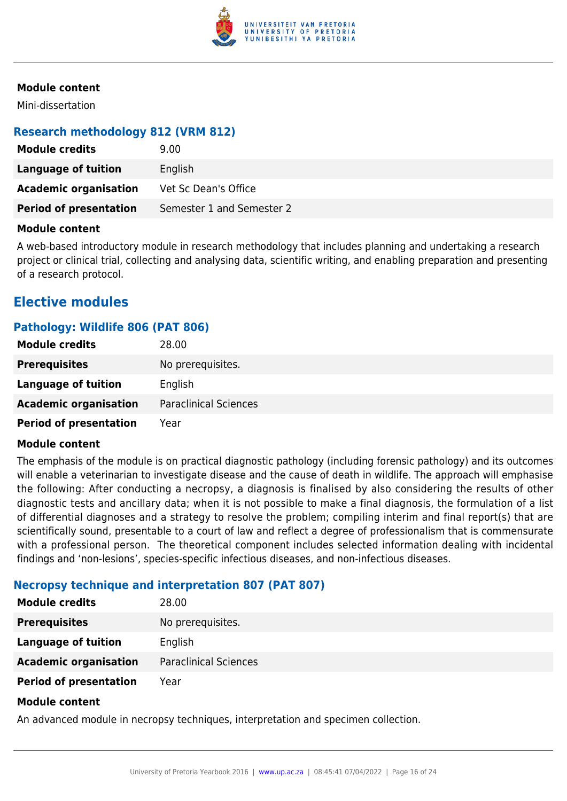

Mini-dissertation

## **Research methodology 812 (VRM 812)**

| <b>Module credits</b>         | 9.00                      |
|-------------------------------|---------------------------|
| Language of tuition           | English                   |
| <b>Academic organisation</b>  | Vet Sc Dean's Office      |
| <b>Period of presentation</b> | Semester 1 and Semester 2 |

#### **Module content**

A web-based introductory module in research methodology that includes planning and undertaking a research project or clinical trial, collecting and analysing data, scientific writing, and enabling preparation and presenting of a research protocol.

## **Elective modules**

## **Pathology: Wildlife 806 (PAT 806)**

| <b>Module credits</b>         | 28.00                        |
|-------------------------------|------------------------------|
| <b>Prerequisites</b>          | No prerequisites.            |
| Language of tuition           | English                      |
| <b>Academic organisation</b>  | <b>Paraclinical Sciences</b> |
| <b>Period of presentation</b> | Year                         |

#### **Module content**

The emphasis of the module is on practical diagnostic pathology (including forensic pathology) and its outcomes will enable a veterinarian to investigate disease and the cause of death in wildlife. The approach will emphasise the following: After conducting a necropsy, a diagnosis is finalised by also considering the results of other diagnostic tests and ancillary data; when it is not possible to make a final diagnosis, the formulation of a list of differential diagnoses and a strategy to resolve the problem; compiling interim and final report(s) that are scientifically sound, presentable to a court of law and reflect a degree of professionalism that is commensurate with a professional person. The theoretical component includes selected information dealing with incidental findings and 'non-lesions', species-specific infectious diseases, and non-infectious diseases.

## **Necropsy technique and interpretation 807 (PAT 807)**

| <b>Module credits</b>         | 28.00                        |
|-------------------------------|------------------------------|
| <b>Prerequisites</b>          | No prerequisites.            |
| Language of tuition           | English                      |
| <b>Academic organisation</b>  | <b>Paraclinical Sciences</b> |
| <b>Period of presentation</b> | Year                         |
|                               |                              |

#### **Module content**

An advanced module in necropsy techniques, interpretation and specimen collection.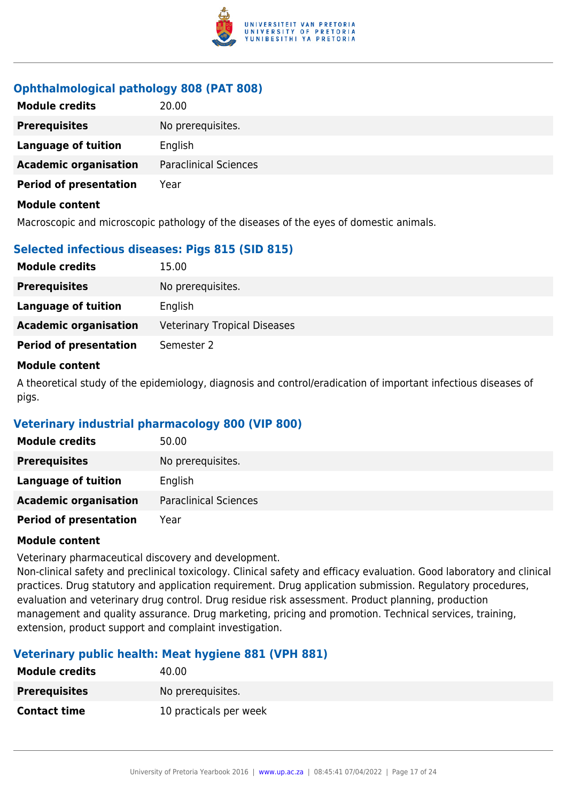

## **Ophthalmological pathology 808 (PAT 808)**

| <b>Module credits</b>         | 20.00                        |
|-------------------------------|------------------------------|
| <b>Prerequisites</b>          | No prerequisites.            |
| <b>Language of tuition</b>    | English                      |
| <b>Academic organisation</b>  | <b>Paraclinical Sciences</b> |
| <b>Period of presentation</b> | Year                         |
| <b>Module content</b>         |                              |

Macroscopic and microscopic pathology of the diseases of the eyes of domestic animals.

## **Selected infectious diseases: Pigs 815 (SID 815)**

| <b>Module credits</b>         | 15.00                               |
|-------------------------------|-------------------------------------|
| <b>Prerequisites</b>          | No prerequisites.                   |
| Language of tuition           | English                             |
| <b>Academic organisation</b>  | <b>Veterinary Tropical Diseases</b> |
| <b>Period of presentation</b> | Semester 2                          |
|                               |                                     |

#### **Module content**

A theoretical study of the epidemiology, diagnosis and control/eradication of important infectious diseases of pigs.

## **Veterinary industrial pharmacology 800 (VIP 800)**

| <b>Module credits</b>         | 50.00                        |
|-------------------------------|------------------------------|
| <b>Prerequisites</b>          | No prerequisites.            |
| Language of tuition           | English                      |
| <b>Academic organisation</b>  | <b>Paraclinical Sciences</b> |
| <b>Period of presentation</b> | Year                         |

## **Module content**

Veterinary pharmaceutical discovery and development.

Non-clinical safety and preclinical toxicology. Clinical safety and efficacy evaluation. Good laboratory and clinical practices. Drug statutory and application requirement. Drug application submission. Regulatory procedures, evaluation and veterinary drug control. Drug residue risk assessment. Product planning, production management and quality assurance. Drug marketing, pricing and promotion. Technical services, training, extension, product support and complaint investigation.

## **Veterinary public health: Meat hygiene 881 (VPH 881)**

| <b>Module credits</b> | 40.00                  |
|-----------------------|------------------------|
| <b>Prerequisites</b>  | No prereguisites.      |
| <b>Contact time</b>   | 10 practicals per week |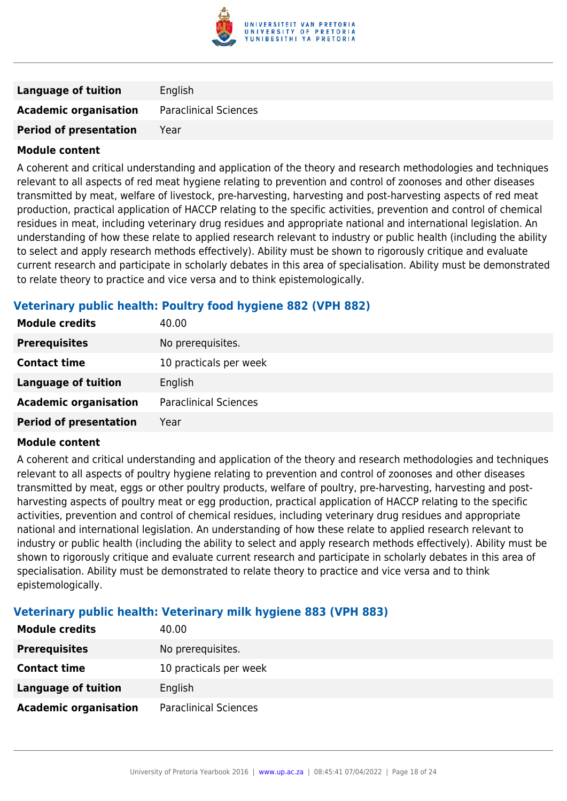

| <b>Language of tuition</b>    | English                      |
|-------------------------------|------------------------------|
| <b>Academic organisation</b>  | <b>Paraclinical Sciences</b> |
| <b>Period of presentation</b> | Year                         |

A coherent and critical understanding and application of the theory and research methodologies and techniques relevant to all aspects of red meat hygiene relating to prevention and control of zoonoses and other diseases transmitted by meat, welfare of livestock, pre-harvesting, harvesting and post-harvesting aspects of red meat production, practical application of HACCP relating to the specific activities, prevention and control of chemical residues in meat, including veterinary drug residues and appropriate national and international legislation. An understanding of how these relate to applied research relevant to industry or public health (including the ability to select and apply research methods effectively). Ability must be shown to rigorously critique and evaluate current research and participate in scholarly debates in this area of specialisation. Ability must be demonstrated to relate theory to practice and vice versa and to think epistemologically.

## **Veterinary public health: Poultry food hygiene 882 (VPH 882)**

| <b>Module credits</b>         | 40.00                        |
|-------------------------------|------------------------------|
| <b>Prerequisites</b>          | No prerequisites.            |
| <b>Contact time</b>           | 10 practicals per week       |
| <b>Language of tuition</b>    | English                      |
| <b>Academic organisation</b>  | <b>Paraclinical Sciences</b> |
| <b>Period of presentation</b> | Year                         |

## **Module content**

A coherent and critical understanding and application of the theory and research methodologies and techniques relevant to all aspects of poultry hygiene relating to prevention and control of zoonoses and other diseases transmitted by meat, eggs or other poultry products, welfare of poultry, pre-harvesting, harvesting and postharvesting aspects of poultry meat or egg production, practical application of HACCP relating to the specific activities, prevention and control of chemical residues, including veterinary drug residues and appropriate national and international legislation. An understanding of how these relate to applied research relevant to industry or public health (including the ability to select and apply research methods effectively). Ability must be shown to rigorously critique and evaluate current research and participate in scholarly debates in this area of specialisation. Ability must be demonstrated to relate theory to practice and vice versa and to think epistemologically.

## **Veterinary public health: Veterinary milk hygiene 883 (VPH 883)**

| <b>Module credits</b>        | 40.00                        |
|------------------------------|------------------------------|
| <b>Prerequisites</b>         | No prerequisites.            |
| <b>Contact time</b>          | 10 practicals per week       |
| Language of tuition          | English                      |
| <b>Academic organisation</b> | <b>Paraclinical Sciences</b> |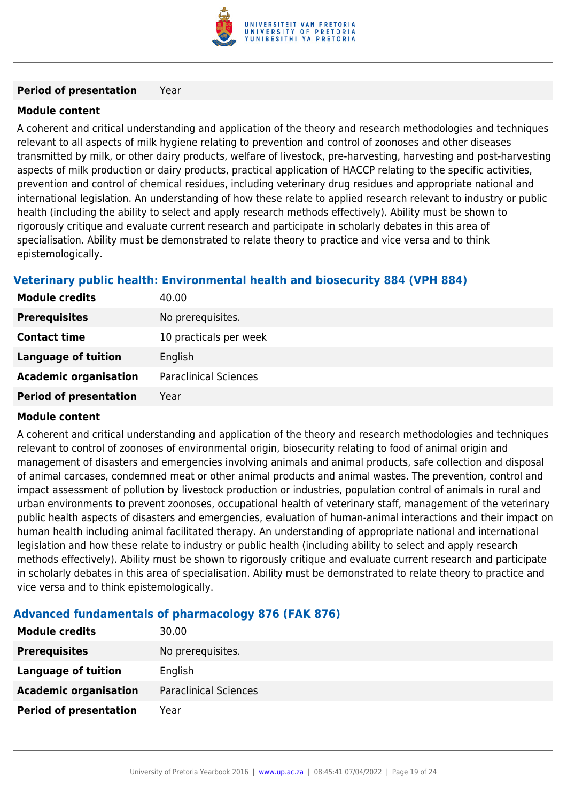

#### **Period of presentation** Year

## **Module content**

A coherent and critical understanding and application of the theory and research methodologies and techniques relevant to all aspects of milk hygiene relating to prevention and control of zoonoses and other diseases transmitted by milk, or other dairy products, welfare of livestock, pre-harvesting, harvesting and post-harvesting aspects of milk production or dairy products, practical application of HACCP relating to the specific activities, prevention and control of chemical residues, including veterinary drug residues and appropriate national and international legislation. An understanding of how these relate to applied research relevant to industry or public health (including the ability to select and apply research methods effectively). Ability must be shown to rigorously critique and evaluate current research and participate in scholarly debates in this area of specialisation. Ability must be demonstrated to relate theory to practice and vice versa and to think epistemologically.

## **Veterinary public health: Environmental health and biosecurity 884 (VPH 884)**

| <b>Module credits</b>         | 40.00                        |
|-------------------------------|------------------------------|
| <b>Prerequisites</b>          | No prerequisites.            |
| <b>Contact time</b>           | 10 practicals per week       |
| Language of tuition           | English                      |
| <b>Academic organisation</b>  | <b>Paraclinical Sciences</b> |
| <b>Period of presentation</b> | Year                         |

## **Module content**

A coherent and critical understanding and application of the theory and research methodologies and techniques relevant to control of zoonoses of environmental origin, biosecurity relating to food of animal origin and management of disasters and emergencies involving animals and animal products, safe collection and disposal of animal carcases, condemned meat or other animal products and animal wastes. The prevention, control and impact assessment of pollution by livestock production or industries, population control of animals in rural and urban environments to prevent zoonoses, occupational health of veterinary staff, management of the veterinary public health aspects of disasters and emergencies, evaluation of human-animal interactions and their impact on human health including animal facilitated therapy. An understanding of appropriate national and international legislation and how these relate to industry or public health (including ability to select and apply research methods effectively). Ability must be shown to rigorously critique and evaluate current research and participate in scholarly debates in this area of specialisation. Ability must be demonstrated to relate theory to practice and vice versa and to think epistemologically.

## **Advanced fundamentals of pharmacology 876 (FAK 876)**

| <b>Module credits</b>         | 30.00                        |
|-------------------------------|------------------------------|
| <b>Prerequisites</b>          | No prerequisites.            |
| Language of tuition           | English                      |
| <b>Academic organisation</b>  | <b>Paraclinical Sciences</b> |
| <b>Period of presentation</b> | Year                         |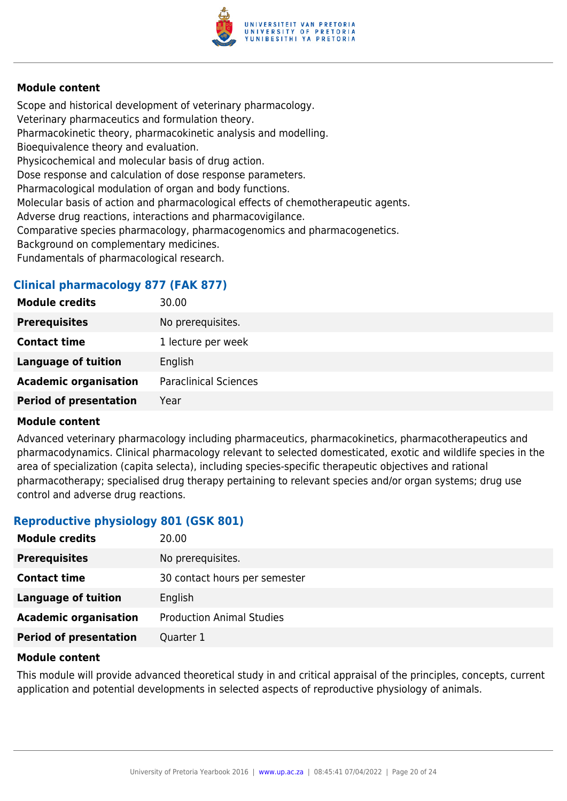

Scope and historical development of veterinary pharmacology. Veterinary pharmaceutics and formulation theory. Pharmacokinetic theory, pharmacokinetic analysis and modelling. Bioequivalence theory and evaluation. Physicochemical and molecular basis of drug action. Dose response and calculation of dose response parameters. Pharmacological modulation of organ and body functions. Molecular basis of action and pharmacological effects of chemotherapeutic agents. Adverse drug reactions, interactions and pharmacovigilance. Comparative species pharmacology, pharmacogenomics and pharmacogenetics. Background on complementary medicines. Fundamentals of pharmacological research.

## **Clinical pharmacology 877 (FAK 877)**

| No prerequisites.<br><b>Prerequisites</b><br><b>Contact time</b><br>1 lecture per week<br><b>Language of tuition</b><br>English<br><b>Academic organisation</b><br><b>Paraclinical Sciences</b> | <b>Module credits</b> | 30.00 |
|-------------------------------------------------------------------------------------------------------------------------------------------------------------------------------------------------|-----------------------|-------|
|                                                                                                                                                                                                 |                       |       |
|                                                                                                                                                                                                 |                       |       |
|                                                                                                                                                                                                 |                       |       |
|                                                                                                                                                                                                 |                       |       |
| <b>Period of presentation</b><br>Year                                                                                                                                                           |                       |       |

#### **Module content**

Advanced veterinary pharmacology including pharmaceutics, pharmacokinetics, pharmacotherapeutics and pharmacodynamics. Clinical pharmacology relevant to selected domesticated, exotic and wildlife species in the area of specialization (capita selecta), including species-specific therapeutic objectives and rational pharmacotherapy; specialised drug therapy pertaining to relevant species and/or organ systems; drug use control and adverse drug reactions.

## **Reproductive physiology 801 (GSK 801)**

| <b>Module credits</b>         | 20.00                            |
|-------------------------------|----------------------------------|
| <b>Prerequisites</b>          | No prerequisites.                |
| <b>Contact time</b>           | 30 contact hours per semester    |
| <b>Language of tuition</b>    | English                          |
| <b>Academic organisation</b>  | <b>Production Animal Studies</b> |
| <b>Period of presentation</b> | Quarter 1                        |

#### **Module content**

This module will provide advanced theoretical study in and critical appraisal of the principles, concepts, current application and potential developments in selected aspects of reproductive physiology of animals.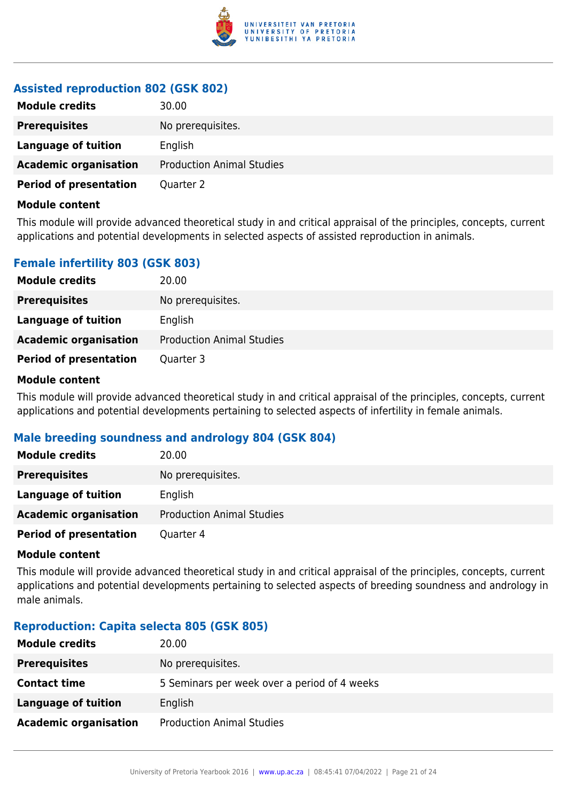

## **Assisted reproduction 802 (GSK 802)**

| <b>Module credits</b>         | 30.00                            |
|-------------------------------|----------------------------------|
| <b>Prerequisites</b>          | No prerequisites.                |
| Language of tuition           | English                          |
| <b>Academic organisation</b>  | <b>Production Animal Studies</b> |
| <b>Period of presentation</b> | Quarter 2                        |

#### **Module content**

This module will provide advanced theoretical study in and critical appraisal of the principles, concepts, current applications and potential developments in selected aspects of assisted reproduction in animals.

## **Female infertility 803 (GSK 803)**

| <b>Module credits</b>         | 20.00                            |
|-------------------------------|----------------------------------|
| <b>Prerequisites</b>          | No prerequisites.                |
| Language of tuition           | English                          |
| <b>Academic organisation</b>  | <b>Production Animal Studies</b> |
| <b>Period of presentation</b> | Quarter 3                        |

#### **Module content**

This module will provide advanced theoretical study in and critical appraisal of the principles, concepts, current applications and potential developments pertaining to selected aspects of infertility in female animals.

## **Male breeding soundness and andrology 804 (GSK 804)**

| <b>Module credits</b>         | 20.00                            |
|-------------------------------|----------------------------------|
| <b>Prerequisites</b>          | No prerequisites.                |
| <b>Language of tuition</b>    | English                          |
| <b>Academic organisation</b>  | <b>Production Animal Studies</b> |
| <b>Period of presentation</b> | Quarter 4                        |

#### **Module content**

This module will provide advanced theoretical study in and critical appraisal of the principles, concepts, current applications and potential developments pertaining to selected aspects of breeding soundness and andrology in male animals.

## **Reproduction: Capita selecta 805 (GSK 805)**

| <b>Module credits</b>        | 20.00                                        |
|------------------------------|----------------------------------------------|
| <b>Prerequisites</b>         | No prerequisites.                            |
| <b>Contact time</b>          | 5 Seminars per week over a period of 4 weeks |
| <b>Language of tuition</b>   | English                                      |
| <b>Academic organisation</b> | <b>Production Animal Studies</b>             |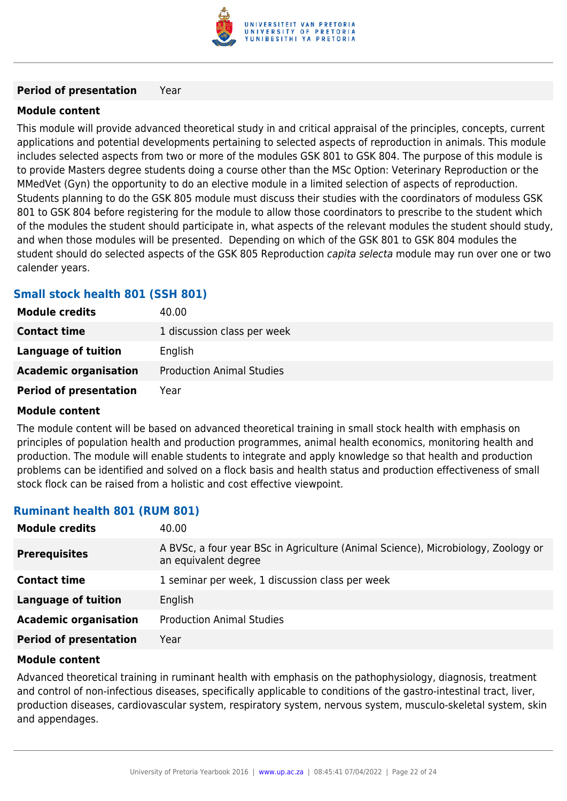

#### **Period of presentation** Year

## **Module content**

This module will provide advanced theoretical study in and critical appraisal of the principles, concepts, current applications and potential developments pertaining to selected aspects of reproduction in animals. This module includes selected aspects from two or more of the modules GSK 801 to GSK 804. The purpose of this module is to provide Masters degree students doing a course other than the MSc Option: Veterinary Reproduction or the MMedVet (Gyn) the opportunity to do an elective module in a limited selection of aspects of reproduction. Students planning to do the GSK 805 module must discuss their studies with the coordinators of moduless GSK 801 to GSK 804 before registering for the module to allow those coordinators to prescribe to the student which of the modules the student should participate in, what aspects of the relevant modules the student should study, and when those modules will be presented. Depending on which of the GSK 801 to GSK 804 modules the student should do selected aspects of the GSK 805 Reproduction capita selecta module may run over one or two calender years.

## **Small stock health 801 (SSH 801)**

| <b>Module credits</b>         | 40.00                            |
|-------------------------------|----------------------------------|
| <b>Contact time</b>           | 1 discussion class per week      |
| Language of tuition           | English                          |
| <b>Academic organisation</b>  | <b>Production Animal Studies</b> |
| <b>Period of presentation</b> | Year                             |

#### **Module content**

The module content will be based on advanced theoretical training in small stock health with emphasis on principles of population health and production programmes, animal health economics, monitoring health and production. The module will enable students to integrate and apply knowledge so that health and production problems can be identified and solved on a flock basis and health status and production effectiveness of small stock flock can be raised from a holistic and cost effective viewpoint.

## **Ruminant health 801 (RUM 801)**

| 40.00                                                                                                     |
|-----------------------------------------------------------------------------------------------------------|
| A BVSc, a four year BSc in Agriculture (Animal Science), Microbiology, Zoology or<br>an equivalent degree |
| 1 seminar per week, 1 discussion class per week                                                           |
| English                                                                                                   |
| <b>Production Animal Studies</b>                                                                          |
| Year                                                                                                      |
|                                                                                                           |

#### **Module content**

Advanced theoretical training in ruminant health with emphasis on the pathophysiology, diagnosis, treatment and control of non-infectious diseases, specifically applicable to conditions of the gastro-intestinal tract, liver, production diseases, cardiovascular system, respiratory system, nervous system, musculo-skeletal system, skin and appendages.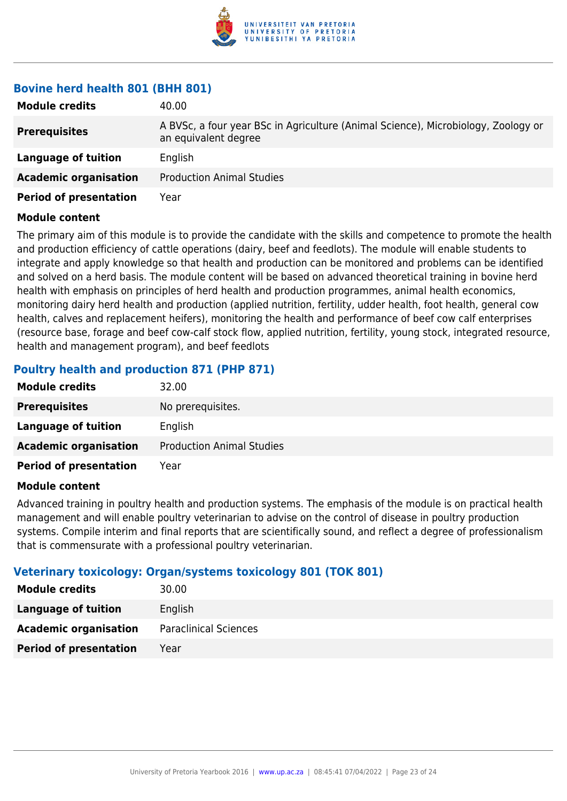

## **Bovine herd health 801 (BHH 801)**

| <b>Module credits</b>         | 40.00                                                                                                     |
|-------------------------------|-----------------------------------------------------------------------------------------------------------|
| <b>Prerequisites</b>          | A BVSc, a four year BSc in Agriculture (Animal Science), Microbiology, Zoology or<br>an equivalent degree |
| Language of tuition           | English                                                                                                   |
| <b>Academic organisation</b>  | <b>Production Animal Studies</b>                                                                          |
| <b>Period of presentation</b> | Year                                                                                                      |

#### **Module content**

The primary aim of this module is to provide the candidate with the skills and competence to promote the health and production efficiency of cattle operations (dairy, beef and feedlots). The module will enable students to integrate and apply knowledge so that health and production can be monitored and problems can be identified and solved on a herd basis. The module content will be based on advanced theoretical training in bovine herd health with emphasis on principles of herd health and production programmes, animal health economics, monitoring dairy herd health and production (applied nutrition, fertility, udder health, foot health, general cow health, calves and replacement heifers), monitoring the health and performance of beef cow calf enterprises (resource base, forage and beef cow-calf stock flow, applied nutrition, fertility, young stock, integrated resource, health and management program), and beef feedlots

## **Poultry health and production 871 (PHP 871)**

| 32.00                            |
|----------------------------------|
| No prerequisites.                |
| English                          |
| <b>Production Animal Studies</b> |
| Year                             |
|                                  |

## **Module content**

Advanced training in poultry health and production systems. The emphasis of the module is on practical health management and will enable poultry veterinarian to advise on the control of disease in poultry production systems. Compile interim and final reports that are scientifically sound, and reflect a degree of professionalism that is commensurate with a professional poultry veterinarian.

## **Veterinary toxicology: Organ/systems toxicology 801 (TOK 801)**

| <b>Module credits</b>         | 30.00                        |
|-------------------------------|------------------------------|
| Language of tuition           | English                      |
| <b>Academic organisation</b>  | <b>Paraclinical Sciences</b> |
| <b>Period of presentation</b> | Year                         |